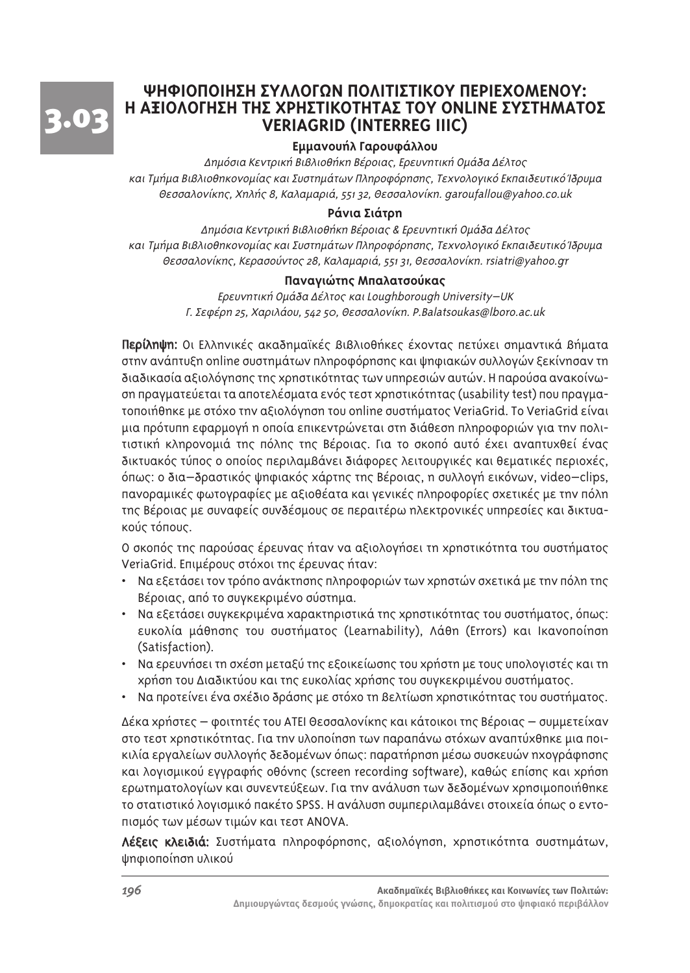

# **ΨΗΦΙΟΠΟΙΗΣΗ ΣΥΛΛΟΓΟΝ ΠΟΛΙΤΙΣΤΙΚΟΥ ΠΕΡΙΕΧΟΜΕΝΟΥ:** Η ΑΞΙΟΛΟΓΗΣΗ ΤΗΣ ΧΡΗΣΤΙΚΟΤΗΤΑΣ ΤΟΥ ONLINE ΣΥΣΤΗΜΑΤΟΣ **VERIAGRID (INTERREG IIIC)**

# Εμμανουήλ Γαρουφάλλου

Δημόσια Κεντρική Βιβλιοθήκη Βέροιας, Ερευνητική Ομάδα Δέλτος και Τμήμα Βιβλιοθηκονομίας και Συστημάτων Πληροφόρησης, Τεχνολογικό Εκπαιδευτικό Ίδρυμα Θεσσαλονίκης, Χηλής 8, Καλαμαριά, 551 32, Θεσσαλονίκη. garoufallou@yahoo.co.uk

## Ράνια Σιάτρη

Δημόσια Κεντρική Βιβλιοθήκη Βέροιας & Ερευνητική Ομάδα Δέλτος και Τμήμα Βιβλιοθηκονομίας και Συστημάτων Πληροφόρησης, Τεχνολογικό Εκπαιδευτικό Ίδρυμα Θεσσαλονίκης, Κερασούντος 28, Καλαμαριά, 551 31, Θεσσαλονίκη, rsiatri@yahoo.gr

#### **Παναγιώτης Μπαλατσούκας**

Ερευνητική Ομάδα Δέλτος και Loughborough University-UK  $\overline{I}$ . Σεφέρη 25, Χαριλάου, 542 50, Θεσσαλονίκη. P.Balatsoukas@lboro.ac.uk

Περίληψη: Οι Ελληνικές ακαδημαϊκές Βιβλιοθήκες έχοντας πετύχει σημαντικά Βήματα στην ανάπτυξη online συστημάτων πληροφόρησης και ψηφιακών συλλογών ξεκίνησαν τη διαδικασία αξιολόγησης της χρηστικότητας των υπηρεσιών αυτών. Η παρούσα ανακοίνωση πραγματεύεται τα αποτελέσματα ενός τεστ χρηστικότητας (usability test) που πραγματοποιήθηκε με στόχο την αξιολόγηση του online συστήματος VeriaGrid. To VeriaGrid είναι μια πρότυπη εφαρμογή η οποία επικεντρώνεται στη διάθεση πληροφοριών για την πολιτιστική κληρονομιά της πόλης της Βέροιας. Για το σκοπό αυτό έχει αναπτυχθεί ένας δικτυακός τύπος ο οποίος περιλαμβάνει διάφορες λειτουργικές και θεματικές περιοχές, <u>όπως: ο δια–δραστικός ψηφιακός χάρτης της Βέροιας, η συλλογή εικόνων, video–clips,</u> πανοραμικές φωτογραφίες με αξιοθέατα και γενικές πληροφορίες σχετικές με την πόλη της Βέροιας με συναφείς συνδέσμους σε περαιτέρω ηλεκτρονικές υπηρεσίες και δικτυακούς τόπους.

Ο σκοπός της παρούσας έρευνας ήταν να αξιολογήσει τη χρηστικότητα του συστήματος VeriaGrid. Επιμέρους στόχοι της έρευνας ήταν:

- Να εξετάσει τον τρόπο ανάκτησης πληροφοριών των χρηστών σχετικά με την πόλη της Βέροιας, από το συγκεκριμένο σύστημα.
- Nα εξετάσει συγκεκριμένα χαρακτηριστικά της χρηστικότητας του συστήματος, όπως: ευκολία μάθησης του συστήματος (Learnability), Λάθη (Errors) και Ικανοποίηση (Satisfaction).
- Nα ερευνήσει τη σχέση μεταξύ της εξοικείωσης του χρήστη με τους υπολογιστές και τη xρήση του Διαδικτύου και της ευκολίας xρήσης του συγκεκριμένου συστήματος.
- Nα προτείνει ένα σχέδιο δράσης με στόχο τη βελτίωση χρηστικότητας του συστήματος.

Δέκα χρήστες – φοιτητές του ΑΤΕΙ Θεσσαλονίκης και κάτοικοι της Βέροιας – συμμετείχαν στο τεστ χρηστικότητας. Για την υλοποίηση των παραπάνω στόχων αναπτύχθηκε μια ποικιλία εργαλείων συλλογής δεδομένων όπως: παρατήρηση μέσω συσκευών ηχογράφησης και λογισμικού εγγραφής οθόνης (screen recording software), καθώς επίσης και χρήση ερωτηματολογίων και συνεντεύξεων. Για την ανάλυση των δεδομένων χρησιμοποιήθηκε το στατιστικό λογισμικό πακέτο SPSS. Η ανάλυση συμπεριλαμβάνει στοιχεία όπως ο εντοπισμός των μέσων τιμών και τεστ ANOVA.

Λέξεις κλειδιά: Συστήματα πληροφόρησης, αξιολόγηση, χρηστικότητα συστημάτων, ψηφιοποίηση υλικού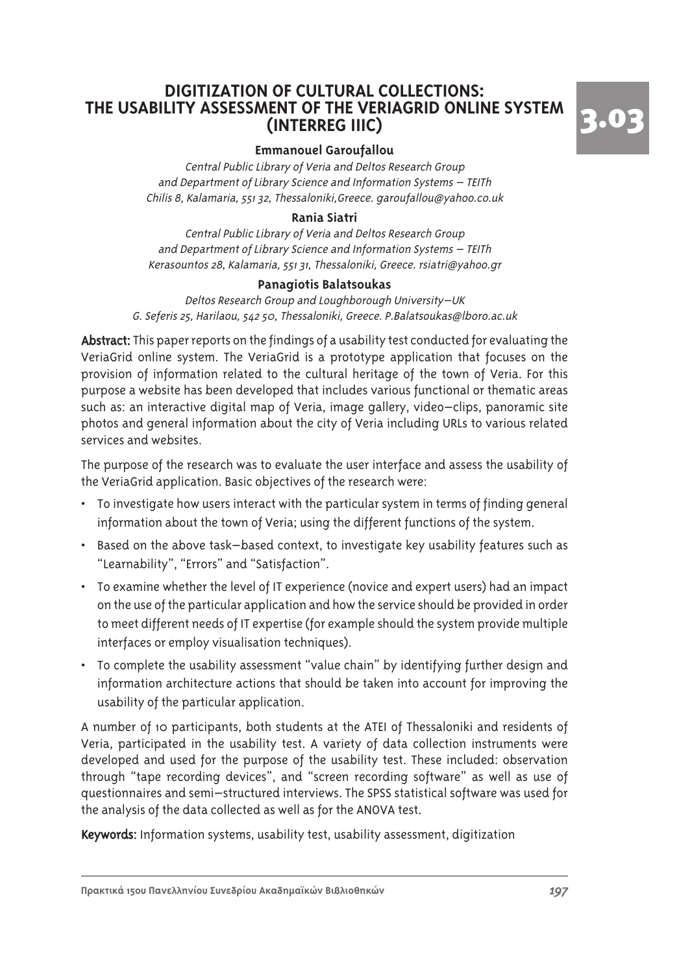# **DIGITIZATION OF CULTURAL COLLECTIONS: THE USABILITY ASSESSMENT OF THE VERIAGRID ONLINE SYSTEM (INTERREG IIIC)**



#### **Emmanouel Garoufallou**

Central Public Library of Veria and Deltos Research Group and Department of Library Science and Information Systems – TEITh Chilis 8, Kalamaria, 551 32, Thessaloniki,Greece. garoufallou@yahoo.co.uk

#### **Rania Siatri**

Central Public Library of Veria and Deltos Research Group and Department of Library Science and Information Systems – TEITh Kerasountos 28, Kalamaria, 551 31, Thessaloniki, Greece. rsiatri@yahoo.gr

#### **Panagiotis Balatsoukas**

Deltos Research Group and Loughborough University–UK G. Seferis 25, Harilaou, 542 50, Thessaloniki, Greece. P.Balatsoukas@lboro.ac.uk

Abstract: This paper reports on the findings of a usability test conducted for evaluating the VeriaGrid online system. The VeriaGrid is a prototype application that focuses on the provision of information related to the cultural heritage of the town of Veria. For this purpose a website has been developed that includes various functional or thematic areas such as: an interactive digital map of Veria, image gallery, video–clips, panoramic site photos and general information about the city of Veria including URLs to various related services and websites.

The purpose of the research was to evaluate the user interface and assess the usability of the VeriaGrid application. Basic objectives of the research were:

- To investigate how users interact with the particular system in terms of finding general information about the town of Veria; using the different functions of the system.
- Based on the above task–based context, to investigate key usability features such as "Learnability", "Errors" and "Satisfaction".
- To examine whether the level of IT experience (novice and expert users) had an impact on the use of the particular application and how the service should be provided in order to meet different needs of IT expertise (for example should the system provide multiple interfaces or employ visualisation techniques).
- To complete the usability assessment "value chain" by identifying further design and information architecture actions that should be taken into account for improving the usability of the particular application.

A number of 10 participants, both students at the ATEI of Thessaloniki and residents of Veria, participated in the usability test. A variety of data collection instruments were developed and used for the purpose of the usability test. These included: observation through "tape recording devices", and "screen recording software" as well as use of questionnaires and semi–structured interviews. The SPSS statistical software was used for the analysis of the data collected as well as for the ANOVA test.

Keywords: Information systems, usability test, usability assessment, digitization

Πρακτικά 15ου Πανελληνίου Συνεδρίου Ακαδημαϊκών Βιβλιοθηκών **του του του του του του του 197**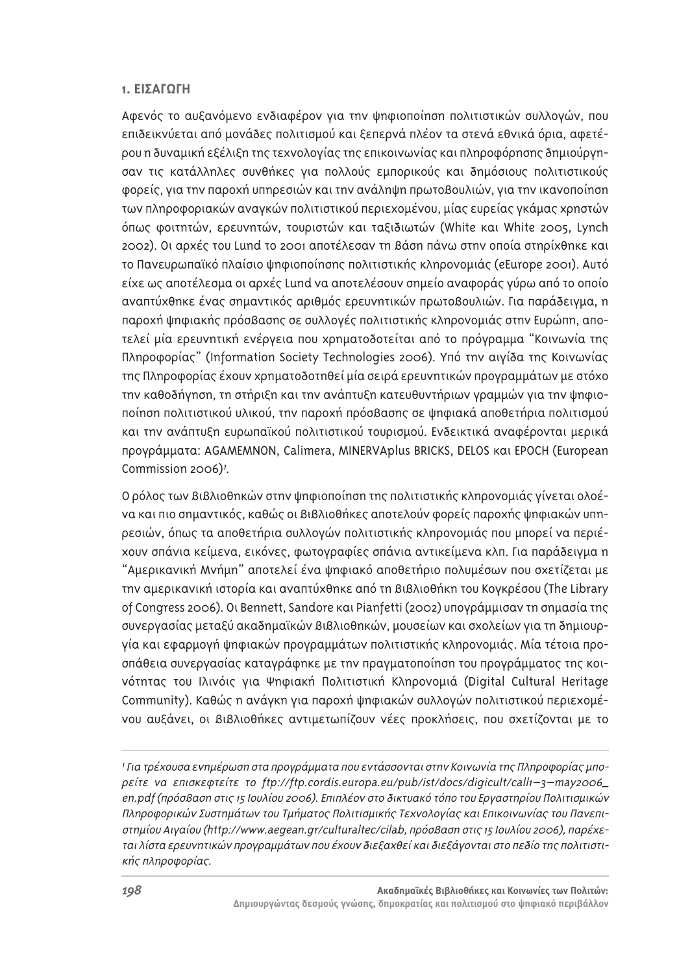#### 1. **ΕΙΣΑΓΟΓΗ**

Αφενός το αυξανόμενο ενδιαφέρον για την ψηφιοποίηση πολιτιστικών συλλογών, που επιδεικνύεται από μονάδες πολιτισμού και ξεπερνά πλέον τα στενά εθνικά όρια, αφετέρου η δυναμική εξέλιξη της τεχνολογίας της επικοινωνίας και πληροφόρησης δημιούργησαν τις κατάλληλες συνθήκες για πολλούς εμπορικούς και δημόσιους πολιτιστικούς φορείς, για την παροχή υπηρεσιών και την ανάληψη πρωτοβουλιών, για την ικανοποίηση των πληροφοριακών αναγκών πολιτιστικού περιεχομένου, μίας ευρείας γκάμας χρηστών όπως φοιτητών, ερευνητών, τουριστών και ταξιδιωτών (White και White 2005, Lynch 2002). Οι αρχές του Lund το 2001 αποτέλεσαν τη βάση πάνω στην οποία στηρίχθηκε και το Πανευρωπαϊκό πλαίσιο ψηφιοποίησης πολιτιστικής κληρονομιάς (eEurope 2001). Αυτό είχε ως αποτέλεσμα οι αρχές Lund να αποτελέσουν σημείο αναφοράς γύρω από το οποίο αναπτύχθηκε ένας σημαντικός αριθμός ερευνητικών πρωτοβουλιών. Για παράδειγμα, η παροχή ψηφιακής πρόσβασης σε συλλογές πολιτιστικής κληρονομιάς στην Ευρώπη, αποτελεί μία ερευνητική ενέργεια που χρηματοδοτείται από το πρόγραμμα "Κοινωνία της Πληροφορίας" (Information Society Technologies 2006). Υπό την αιγίδα της Κοινωνίας της Πληροφορίας έχουν χρηματοδοτηθεί μία σειρά ερευνητικών προγραμμάτων με στόχο την καθοδήγηση, τη στήριξη και την ανάπτυξη κατευθυντήριων γραμμών για την ψηφιοποίηση πολιτιστικού υλικού, την παροχή πρόσβασης σε ψηφιακά αποθετήρια πολιτισμού και την ανάπτυξη ευρωπαϊκού πολιτιστικού τουρισμού. Ενδεικτικά αναφέρονται μερικά προγράμματα: AGAMEMNON, Calimera, MINERVAplus BRICKS, DELOS και EPOCH (European Commission 2006)<sup>1</sup>.

Ο ρόλος των Βιβλιοθηκών στην ψηφιοποίηση της πολιτιστικής κληρονομιάς γίνεται ολοένα και πιο σημαντικός, καθώς οι Βιβλιοθήκες αποτελούν φορείς παροχής ψηφιακών υπηρεσιών, όπως τα αποθετήρια συλλογών πολιτιστικής κληρονομιάς που μπορεί να περιέxουν σπάνια κείμενα, εικόνες, φωτογραφίες σπάνια αντικείμενα κλπ. Για παράδειγμα n "Αμερικανική Μνήμη" αποτελεί ένα ψηφιακό αποθετήριο πολυμέσων που σχετίζεται με την αμερικανική ιστορία και αναπτύχθηκε από τη Βιβλιοθήκη του Κογκρέσου (The Library of Congress 2006). Ol Bennett, Sandore και Pianfetti (2002) υπογράμμισαν τη σημασία της συνεργασίας μεταξύ ακαδημαϊκών Βιβλιοθηκών, μουσείων και σχολείων για τη δημιουργία και εφαρμογή ψηφιακών προγραμμάτων πολιτιστικής κληρονομιάς. Μία τέτοια προσπάθεια συνεργασίας καταγράφηκε με την πραγματοποίηση του προγράμματος της κοι-VÓTNTAC TOU Ιλινόις για Ψηφιακή Πολιτιστική Κληρονομιά (Digital Cultural Heritage Community). Καθώς η ανάγκη για παροχή ψηφιακών συλλογών πολιτιστικού περιεχομένου αυξάνει, οι Βιβλιοθήκες αντιμετωπίζουν νέες προκλήσεις, που σχετίζονται με το

1 Για τρέχουσα ενημέρωση στα προγράμματα που εντάσσονται στην Κοινωνία της Πληροφορίας μποpείτε να επισκεφτείτε το ftp://ftp.cordis.europa.eu/pub/ist/docs/digicult/call1-3-may2006\_ en.pdf (πρόσβαση στις 15 Ιουλίου 2006). Επιπλέον στο δικτυακό τόπο του Εργαστηρίου Πολιτισμικών Πληροφορικών Συστημάτων του Τμήματος Πολιτισμικής Τεχνολογίας και Επικοινωνίας του Πανεπιστημίου Αιγαίου (http://www.aegean.gr/culturaltec/cilab, πρόσβαση στις 15 Ιουλίου 2006), παρέχεται λίστα ερευνητικών προγραμμάτων που έχουν διεξαχθεί και διεξάγονται στο πεδίο της πολιτιστικής πληροφορίας.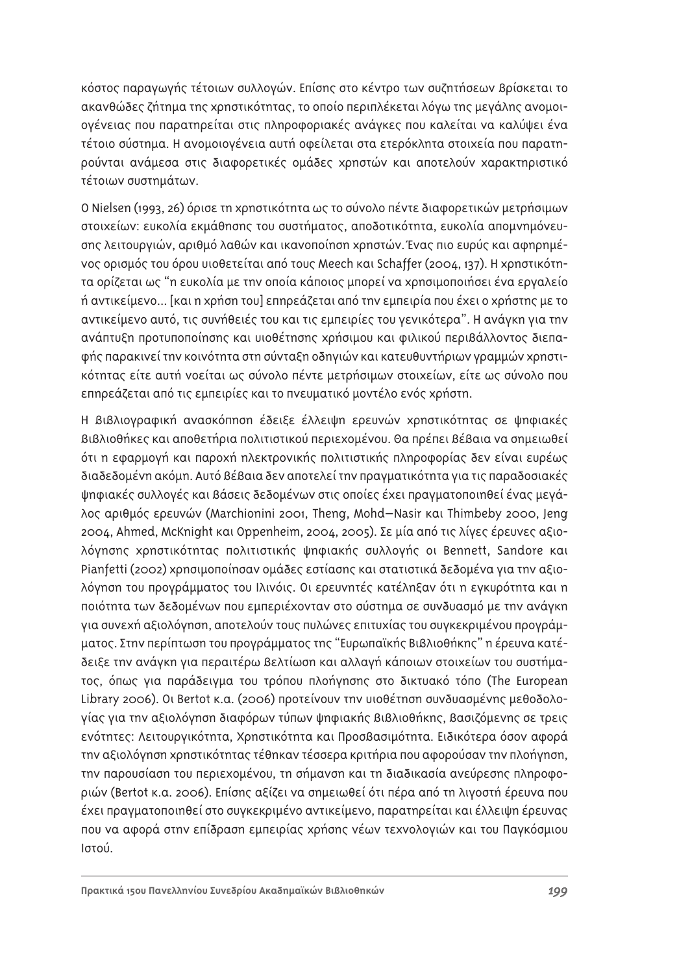κόστος παραγωγής τέτοιων συλλογών. Επίσης στο κέντρο των συζητήσεων Βρίσκεται το ακανθώδες ζήτημα της χρηστικότητας, το οποίο περιπλέκεται λόγω της μεγάλης ανομοιογένειας που παρατηρείται στις πληροφοριακές ανάγκες που καλείται να καλύψει ένα τέτοιο σύστημα. Η ανομοιονένεια αυτή οφείλεται στα ετερόκλητα στοιχεία που παρατηρούνται ανάμεσα στις διαφορετικές ομάδες χρηστών και αποτελούν χαρακτηριστικό τέτοιων συστημάτων.

Ο Nielsen (1993, 26) όρισε τη χρηστικότητα ως το σύνολο πέντε διαφορετικών μετρήσιμων στοιχείων: ευκολία εκμάθησης του συστήματος, αποδοτικότητα, ευκολία απομνημόνευσης λειτουργιών, αριθμό λαθών και ικανοποίηση χρηστών. Ένας πιο ευρύς και αφηρημέ-VOς Ορισμός του όρου υιοθετείται από τους Meech και Schaffer (2004, 137). Η χρηστικότητα ορίζεται ως "η ευκολία με την οποία κάποιος μπορεί να χρησιμοποιήσει ένα εργαλείο ή αντικείμενο... [και η χρήση του] επηρεάζεται από την εμπειρία που έχει ο χρήστης με το αντικείμενο αυτό, τις συνήθειές του και τις εμπειρίες του γενικότερα". Η ανάγκη για την ανάπτυξη προτυποποίησης και υιοθέτησης χρήσιμου και φιλικού περιβάλλοντος διεπαφής παρακινεί την κοινότητα στη σύνταξη οδηγιών και κατευθυντήριων γραμμών χρηστι-Κότητας είτε αυτή νοείται ως σύνολο πέντε μετρήσιμων στοιχείων, είτε ως σύνολο που επηρεάζεται από τις εμπειρίες και το πνευματικό μοντέλο ενός χρήστη.

Η Βιβλιογραφική ανασκόπηση έδειξε έλλειψη ερευνών χρηστικότητας σε ψηφιακές  $B$ ι $B\lambda$ ιοθήκες και αποθετήρια πολιτιστικού περιεχομένου. Θα πρέπει βέβαια να σημειωθεί ότι η εφαρμογή και παροχή ηλεκτρονικής πολιτιστικής πληροφορίας δεν είναι ευρέως διαδεδομένη ακόμη. Αυτό βέβαια δεν αποτελεί την πραγματικότητα για τις παραδοσιακές ψηφιακές συλλογές και βάσεις δεδομένων στις οποίες έχει πραγματοποιηθεί ένας μεγάλος αριθμός ερευνών (Marchionini 2001, Theng, Mohd–Nasir και Thimbeby 2000, Jeng 2004, Ahmed, McKnight και Oppenheim, 2004, 2005). Σε μία από τις λίγες έρευνες αξιολόγησης χρηστικότητας πολιτιστικής ψηφιακής συλλογής οι Bennett, Sandore και Pianfetti (2002) χρησιμοποίησαν ομάδες εστίασης και στατιστικά δεδομένα για την αξιολόγηση του προγράμματος του Ιλινόις. Οι ερευνητές κατέληξαν ότι η εγκυρότητα και η ποιότητα των δεδομένων που εμπεριέχονταν στο σύστημα σε συνδυασμό με την ανάγκη για συνεχή αξιολόγηση, αποτελούν τους πυλώνες επιτυχίας του συγκεκριμένου προγράμματος. Στην περίπτωση του προγράμματος της "Ευρωπαϊκής Βιβλιοθήκης" η έρευνα κατέδειξε την ανάγκη για περαιτέρω βελτίωση και αλλαγή κάποιων στοιχείων του συστήματος, όπως για παράδειγμα του τρόπου πλοήγησης στο δικτυακό τόπο (The European Library 2006). Οι Bertot κ.α. (2006) προτείνουν την υιοθέτηση συνδυασμένης μεθοδολογίας για την αξιολόγηση διαφόρων τύπων ψηφιακής Βιβλιοθήκης, βασιζόμενης σε τρεις ενότητες: Λειτουργικότητα, Χρηστικότητα και Προσβασιμότητα. Ειδικότερα όσον αφορά την αξιολόγηση χρηστικότητας τέθηκαν τέσσερα κριτήρια που αφορούσαν την πλοήγηση, την παρουσίαση του περιεχομένου, τη σήμανση και τη διαδικασία ανεύρεσης πληροφοριών (Bertot κ.α. 2006). Επίσης αξίζει να σημειωθεί ότι πέρα από τη λιγοστή έρευνα που έχει πραγματοποιηθεί στο συγκεκριμένο αντικείμενο, παρατηρείται και έλλειψη έρευνας που να αφορά στην επίδραση εμπειρίας χρήσης νέων τεχνολογιών και του Παγκόσμιου Ιστού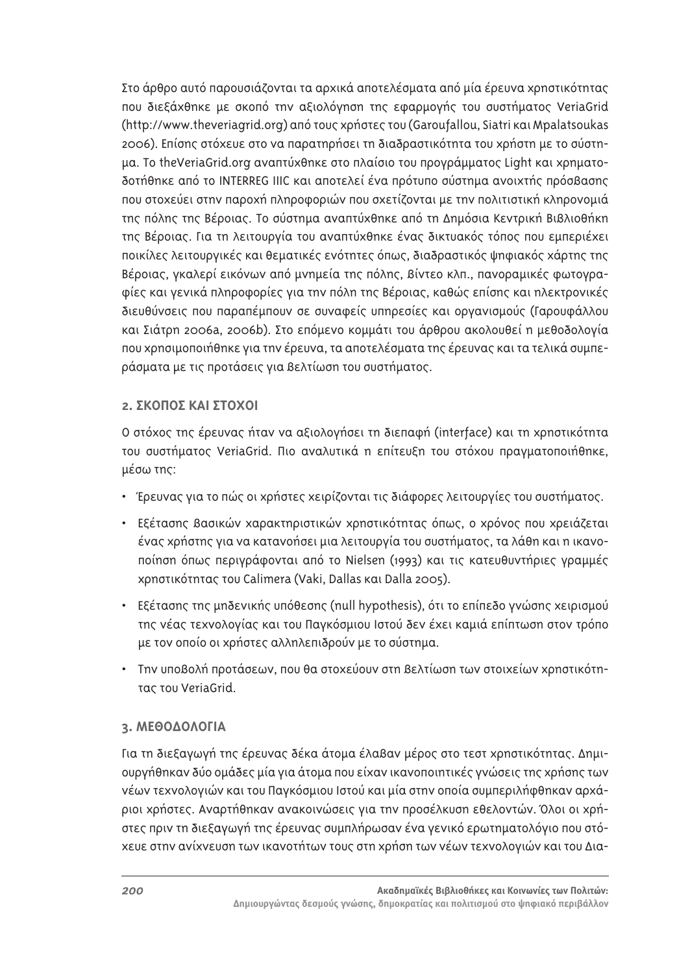Στο άρθρο αυτό παρουσιάζονται τα αρχικά αποτελέσματα από μία έρευνα χρηστικότητας που διεξάχθηκε με σκοπό την αξιολόγηση της εφαρμογής του συστήματος VeriaGrid (http://www.theveriagrid.org) από τους χρήστες του (Garoufallou, Siatri και Mpalatsoukas 2006). Επίσης στόχευε στο να παρατηρήσει τη διαδραστικότητα του χρήστη με το σύστημα. Το theVeriaGrid.org αναπτύχθηκε στο πλαίσιο του προγράμματος Light και χρηματοδοτήθηκε από το INTERREG IIIC και αποτελεί ένα πρότυπο σύστημα ανοιχτής πρόσβασης που στοχεύει στην παροχή πληροφοριών που σχετίζονται με την πολιτιστική κληρονομιά της πόλης της Βέροιας. Το σύστημα αναπτύχθηκε από τη Δημόσια Κεντρική Βιβλιοθήκη της Βέροιας. Για τη λειτουργία του αναπτύχθηκε ένας δικτυακός τόπος που εμπεριέχει ποικίλες λειτουργικές και θεματικές ενότητες όπως, διαδραστικός ψηφιακός χάρτης της Βέροιας, γκαλερί εικόνων από μνημεία της πόλης, βίντεο κλπ., πανοραμικές φωτογραφίες και γενικά πληροφορίες για την πόλη της Βέροιας, καθώς επίσης και ηλεκτρονικές διευθύνσεις που παραπέμπουν σε συναφείς υπηρεσίες και οργανισμούς (Γαρουφάλλου και Σιάτρη 2006a, 2006b). Στο επόμενο κομμάτι του άρθρου ακολουθεί η μεθοδολογία που χρησιμοποιήθηκε για την έρευνα, τα αποτελέσματα της έρευνας και τα τελικά συμπεράσματα με τις προτάσεις για βελτίωση του συστήματος.

## 2. ΣΚΟΠΟΣ ΚΑΙ ΣΤΟΧΟΙ

Ο στόχος της έρευνας ήταν να αξιολογήσει τη διεπαφή (interface) και τη χρηστικότητα του συστήματος VeriaGrid. Πιο αναλυτικά η επίτευξη του στόχου πραγματοποιήθηκε, μέσω της:

- $\cdot$  Έρευνας για το πώς οι χρήστες χειρίζονται τις διάφορες λειτουργίες του συστήματος.
- Εξέτασης βασικών χαρακτηριστικών χρηστικότητας όπως, ο χρόνος που χρειάζεται ένας χρήστης για να κατανοήσει μια λειτουργία του συστήματος, τα λάθη και η ικανοποίηση όπως περιγράφονται από το Nielsen (1993) και τις κατευθυντήριες γραμμές xρηστικότητας του Calimera (Vaki, Dallas και Dalla 2005).
- Eξέτασης της μηδενικής υπόθεσης (null hypothesis), ότι το επίπεδο γνώσης χειρισμού της νέας τεχνολογίας και του Παγκόσμιου Ιστού δεν έχει καμιά επίπτωση στον τρόπο με τον οποίο οι χρήστες αλληλεπιδρούν με το σύστημα.
- Tnv υποβολή προτάσεων, που θα στοχεύουν στη βελτίωση των στοιχείων χρηστικότητας του VeriaGrid.

# **3. ΜΕΘΟΔΟΛΟΓΙΑ**

Για τη διεξαγωγή της έρευνας δέκα άτομα έλαβαν μέρος στο τεστ χρηστικότητας. Δημιουργήθηκαν δύο ομάδες μία για άτομα που είχαν ικανοποιητικές γνώσεις της χρήσης των νέων τεχνολογιών και του Παγκόσμιου Ιστού και μία στην οποία συμπεριλήφθηκαν αρχάριοι χρήστες. Αναρτήθηκαν ανακοινώσεις για την προσέλκυση εθελοντών. Όλοι οι χρήστες πριν τη διεξαγωγή της έρευνας συμπλήρωσαν ένα γενικό ερωτηματολόγιο που στόxευε στην ανίχνευση των ικανοτήτων τους στη χρήση των νέων τεχνολογιών και του Δια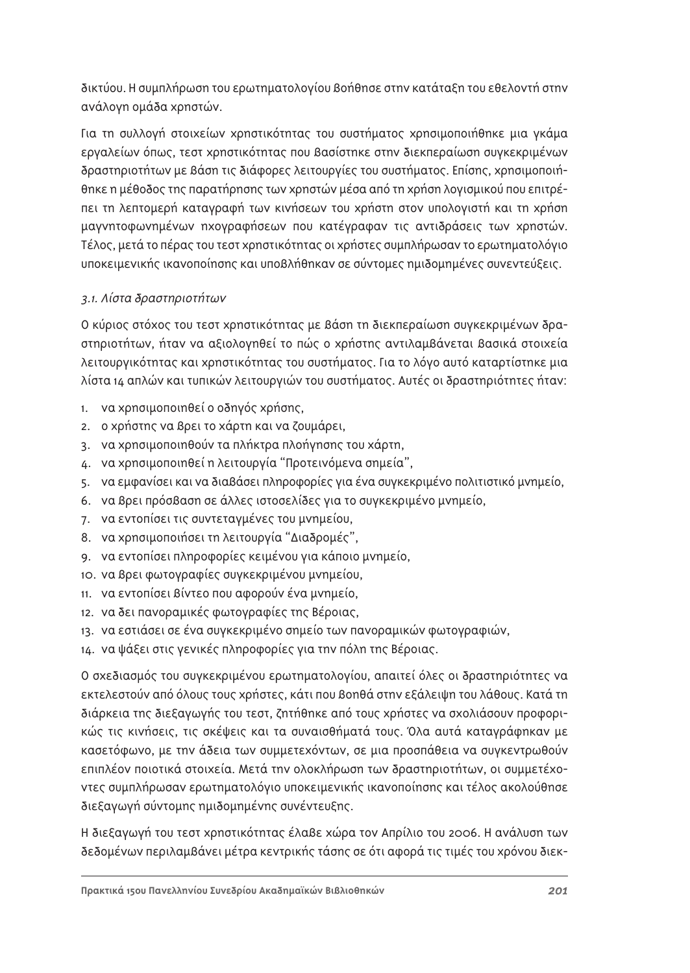δικτύου. Η συμπλήρωση του ερωτηματολογίου βοήθησε στην κατάταξη του εθελοντή στην ανάλογη ομάδα χρηστών.

Για τη συλλογή στοιχείων χρηστικότητας του συστήματος χρησιμοποιήθηκε μια γκάμα εργαλείων όπως, τεστ χρηστικότητας που βασίστηκε στην διεκπεραίωση συγκεκριμένων δραστηριοτήτων με βάση τις διάφορες λειτουργίες του συστήματος. Επίσης, χρησιμοποιήθηκε η μέθοδος της παρατήρησης των χρηστών μέσα από τη χρήση λογισμικού που επιτρέηει τη λεπτομερή καταγραφή των κινήσεων του χρήστη στον υπολογιστή και τη χρήση μαγνητοφωνημένων ηχογραφήσεων που κατέγραφαν τις αντιδράσεις των χρηστών. Τέλος, μετά το πέρας του τεστ χρηστικότητας οι χρήστες συμπλήρωσαν το ερωτηματολόγιο υποκειμενικής ικανοποίησης και υποβλήθηκαν σε σύντομες ημιδομημένες συνεντεύξεις.

# 3.1. Λίστα δραστηριοτήτων

Ο κύριος στόχος του τεστ χρηστικότητας με βάση τη διεκπεραίωση συνκεκριμένων δραστηριοτήτων, ήταν να αξιολογηθεί το πώς ο χρήστης αντιλαμβάνεται βασικά στοιχεία λειτουργικότητας και χρηστικότητας του συστήματος. Για το λόγο αυτό καταρτίστηκε μια λίστα 14 απλών και τυπικών λειτουργιών του συστήματος. Αυτές οι δραστηριότητες ήταν:

- 1. Va χρησιμοποιηθεί ο οδηγός χρήσης,
- 2. Ο Χρήστης να βρει το χάρτη και να ζουμάρει,
- 3. Va χρησιμοποιηθούν τα πλήκτρα πλοήγησης του χάρτη,
- 4. Vα χρησιμοποιηθεί η λειτουργία "Προτεινόμενα σημεία",
- 5. Va εμφανίσει και να διαβάσει πληροφορίες για ένα συγκεκριμένο πολιτιστικό μνημείο,
- 6. V α βρει πρόσβαση σε άλλες ιστοσελίδες για το συγκεκριμένο μνημείο,
- 7. Vα εντοπίσει τις συντεταγμένες του μνημείου,
- 8. να χρησιμοποιήσει τη λειτουργία "Διαδρομές",
- 9. Vα εντοπίσει πληροφορίες κειμένου για κάποιο μνημείο,
- 10. Vα βρει φωτογραφίες συγκεκριμένου μνημείου,
- 11. Vα εντοπίσει βίντεο που αφορούν ένα μνημείο,
- 12. να δει πανοραμικές φωτογραφίες της Βέροιας,
- 13. Vα εστιάσει σε ένα συγκεκριμένο σημείο των πανοραμικών φωτογραφιών,
- 14. να ψάξει στις γενικές πληροφορίες για την πόλη της Βέροιας.

Ο σχεδιασμός του συγκεκριμένου ερωτηματολογίου, απαιτεί όλες οι δραστηριότητες να εκτελεστούν από όλους τους χρήστες, κάτι που βοηθά στην εξάλειψη του λάθους. Κατά τη διάρκεια της διεξαγωγής του τεστ, ζητήθηκε από τους χρήστες να σχολιάσουν προφορι-Κώς τις κινήσεις, τις σκέψεις και τα συναισθήματά τους. Όλα αυτά καταγράφηκαν με κασετόφωνο, με την άδεια των συμμετεχόντων, σε μια προσπάθεια να συγκεντρωθούν επιπλέον ποιοτικά στοιχεία. Μετά την ολοκλήρωση των δραστηριοτήτων, οι συμμετέχο-VΤες συμπλήρωσαν ερωτηματολόγιο υποκειμενικής ικανοποίησης και τέλος ακολούθησε διεξαγωγή σύντομης ημιδομημένης συνέντευξης.

Η διεξαγωγή του τεστ χρηστικότητας έλαβε χώρα τον Απρίλιο του 2006. Η ανάλυση των δεδομένων περιλαμβάνει μέτρα κεντρικής τάσης σε ότι αφορά τις τιμές του χρόνου διεκ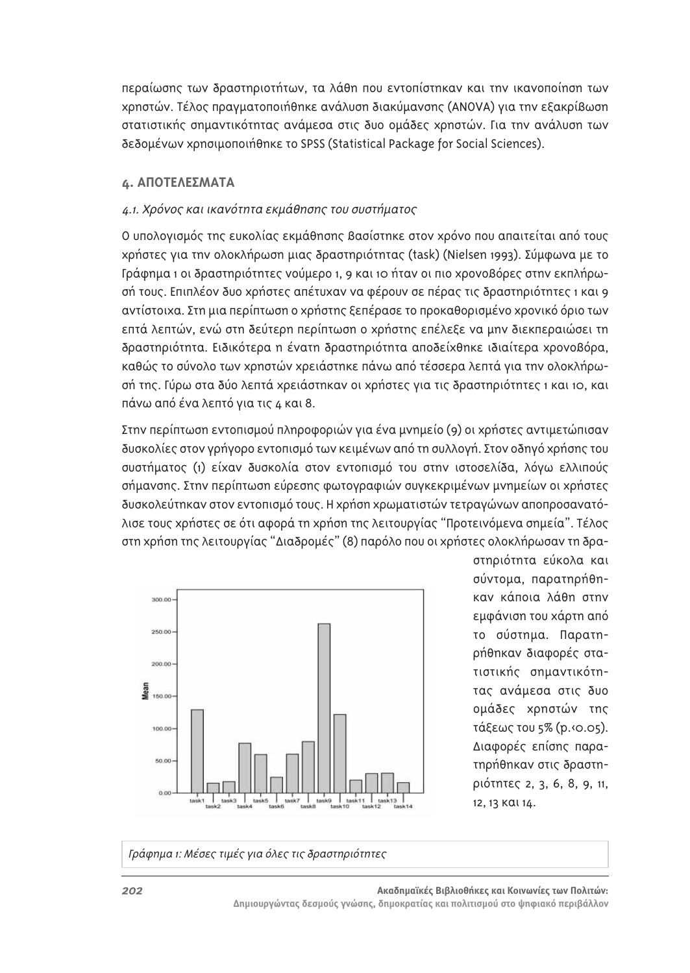περαίωσης των δραστηριοτήτων, τα λάθη που εντοπίστηκαν και την ικανοποίηση των xρηστών. Τέλος πραγματοποιήθηκε ανάλυση διακύμανσης (ANOVA) για την εξακρίβωση στατιστικής σημαντικότητας ανάμεσα στις δυο ομάδες χρηστών. Για την ανάλυση των Sεδομένων χρησιμοποιήθηκε το SPSS (Statistical Package for Social Sciences).

## **4. ΑΠΟΤΕΛΕΣΜΑΤΑ**

#### 4.1. Χρόνος και ικανότητα εκμάθησης του συστήματος

Ο υπολογισμός της ευκολίας εκμάθησης βασίστηκε στον χρόνο που απαιτείται από τους xρήστες για την ολοκλήρωση μιας δραστηριότητας (task) (Nielsen 1993). Σύμφωνα με το Γράφημα 1 οι δραστηριότητες νούμερο 1, 9 και 10 ήταν οι πιο χρονοβόρες στην εκπλήρωοή τους. Επιπλέον δυο χρήστες απέτυχαν να φέρουν σε πέρας τις δραστηριότητες 1 και 9 αντίστοιχα. Στη μια περίπτωση ο χρήστης ξεπέρασε το προκαθορισμένο χρονικό όριο των επτά λεπτών, ενώ στη δεύτερη περίπτωση ο χρήστης επέλεξε να μην διεκπεραιώσει τη δραστηριότητα. Ειδικότερα η ένατη δραστηριότητα αποδείχθηκε ιδιαίτερα χρονοβόρα, καθώς το σύνολο των χρηστών χρειάστηκε πάνω από τέσσερα λεπτά για την ολοκλήρωσή της. Γύρω στα δύο λεπτά χρειάστηκαν οι χρήστες για τις δραστηριότητες 1 και 10, και πάνω από ένα λεπτό για τις 4 και 8.

Στην περίπτωση εντοπισμού πληροφοριών για ένα μνημείο (9) οι χρήστες αντιμετώπισαν δυσκολίες στον γρήγορο εντοπισμό των κειμένων από τη συλλογή. Στον οδηγό χρήσης του συστήματος (1) είχαν δυσκολία στον εντοπισμό του στην ιστοσελίδα, λόγω ελλιπούς σήμανσης. Στην περίπτωση εύρεσης φωτογραφιών συγκεκριμένων μνημείων οι χρήστες δυσκολεύτηκαν στον εντοπισμό τους. Η χρήση χρωματιστών τετραγώνων αποπροσανατόλισε τους χρήστες σε ότι αφορά τη χρήση της λειτουργίας "Προτεινόμενα σημεία". Τέλος στη χρήση της λειτουργίας "Διαδρομές" (8) παρόλο που οι χρήστες ολοκλήρωσαν τη δρα-



στηριότητα εύκολα και σύντομα, παρατηρήθηκαν κάποια λάθη στην εμφάνιση του χάρτη από το σύστημα. Παρατηρήθηκαν διαφορές στατιστικής σημαντικότητας ανάμεσα στις δυο ομάδες χρηστών της τάξεως του 5% (p. (0.05). Διαφορές επίσης παρατηρήθηκαν στις δραστη-ÚÈfiÙËÙ˜ 2, 3, 6, 8, 9, 11, 12, 13 Και 14.

Γράφημα 1: Μέσες τιμές για όλες τις δραστηριότητες

**202** *Δ* **202** *Δ* **2022 <b>***Δ 2023 Δ 2023 Δ 2023 Δ 2023 <i>Δ 2023 Δ* Δημιουργώντας δεσμούς γνώσης, δημοκρατίας και πολιτισμού στο ψηφιακό περιβάλλον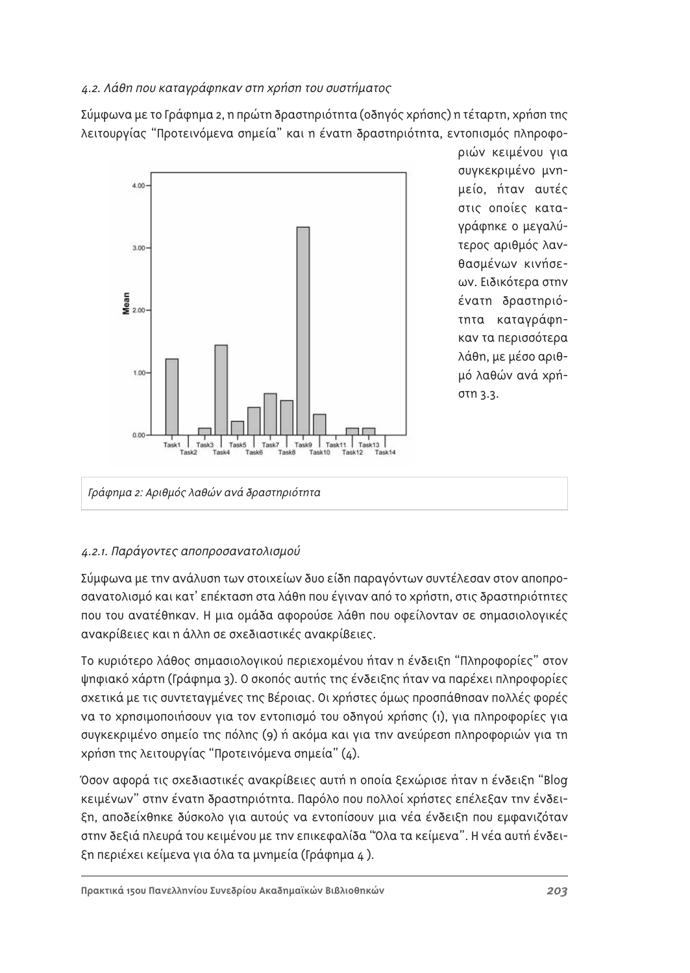# 4.2. Λάθη που καταγράφηκαν στη χρήση του συστήματος

Σύμφωνα με το Γράφημα 2, η πρώτη δραστηριότητα (οδηγός χρήσης) η τέταρτη, χρήση της λειτουργίας "Προτεινόμενα σημεία" και η ένατη δραστηριότητα, εντοπισμός πληροφο-



ριών κειμένου για συγκεκριμένο μνημείο, ήταν αυτές στις οποίες καταγράφηκε ο μεγαλύτερος αριθμός λανθασμένων κινήσεων. Ειδικότερα στην ένατη δραστηριότητα καταγράφηκαν τα περισσότερα λάθη, με μέσο αριθμό λαθών ανά χρήστη 3.3.

# Γράφημα 2: Αριθμός λαθών ανά δραστηριότητα

# 4.2.1. Παράγοντες αποπροσανατολισμού

Σύμφωνα με την ανάλυση των στοιχείων δυο είδη παραγόντων συντέλεσαν στον αποπροσανατολισμό και κατ' επέκταση στα λάθη που έγιναν από το χρήστη, στις δραστηριότητες που του ανατέθηκαν. Η μια ομάδα αφορούσε λάθη που οφείλονταν σε σημασιολογικές ανακρίβειες και η άλλη σε σχεδιαστικές ανακρίβειες.

Το κυριότερο λάθος σημασιολογικού περιεχομένου ήταν η ένδειξη "Πληροφορίες" στον ψηφιακό χάρτη (Γράφημα 3). Ο σκοπός αυτής της ένδειξης ήταν να παρέχει πληροφορίες οχετικά με τις συντεταγμένες της Βέροιας. Οι χρήστες όμως προσπάθησαν πολλές φορές να το χρησιμοποιήσουν για τον εντοπισμό του οδηγού χρήσης (1), για πληροφορίες για συγκεκριμένο σημείο της πόλης (9) ή ακόμα και για την ανεύρεση πληροφοριών για τη xρήση της λειτουργίας "Προτεινόμενα σημεία" (4).

Όσον αφορά τις σχεδιαστικές ανακρίβειες αυτή η οποία ξεχώρισε ήταν η ένδειξη "Blog Κειμένων" στην ένατη δραστηριότητα. Παρόλο που πολλοί χρήστες επέλεξαν την ένδειξη, αποδείχθηκε δύσκολο για αυτούς να εντοπίσουν μια νέα ένδειξη που εμφανιζόταν στην δεξιά πλευρά του κειμένου με την επικεφαλίδα "Όλα τα κείμενα". Η νέα αυτή ένδειξη περιέχει κείμενα για όλα τα μνημεία (Γράφημα 4).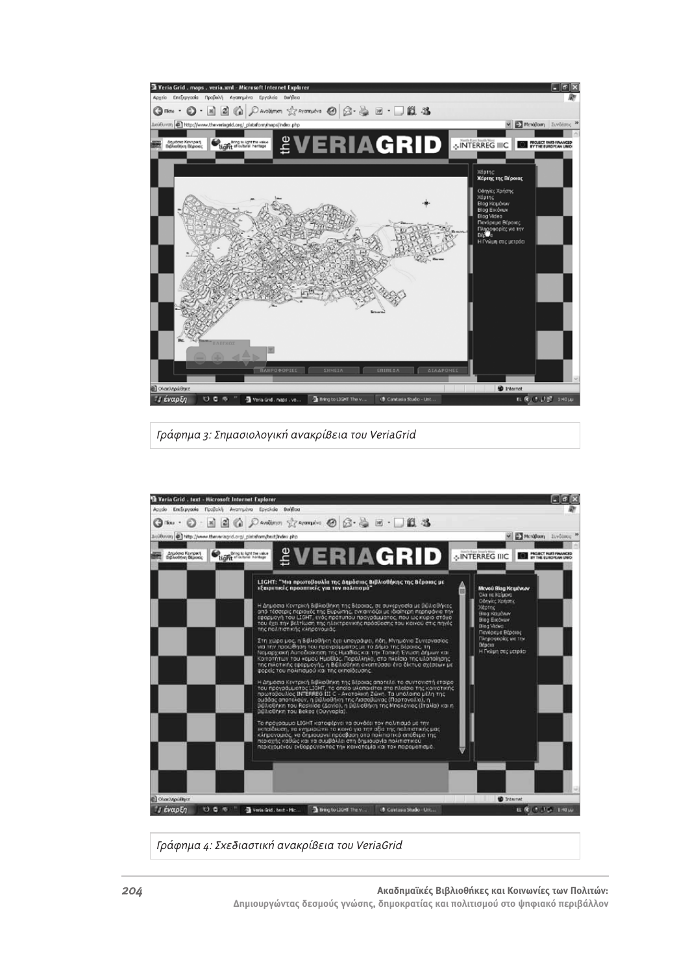

Γράφημα 3: Σημασιολογική ανακρίβεια του VeriaGrid



Γράφημα 4: Σχεδιαστική ανακρίβεια του VeriaGrid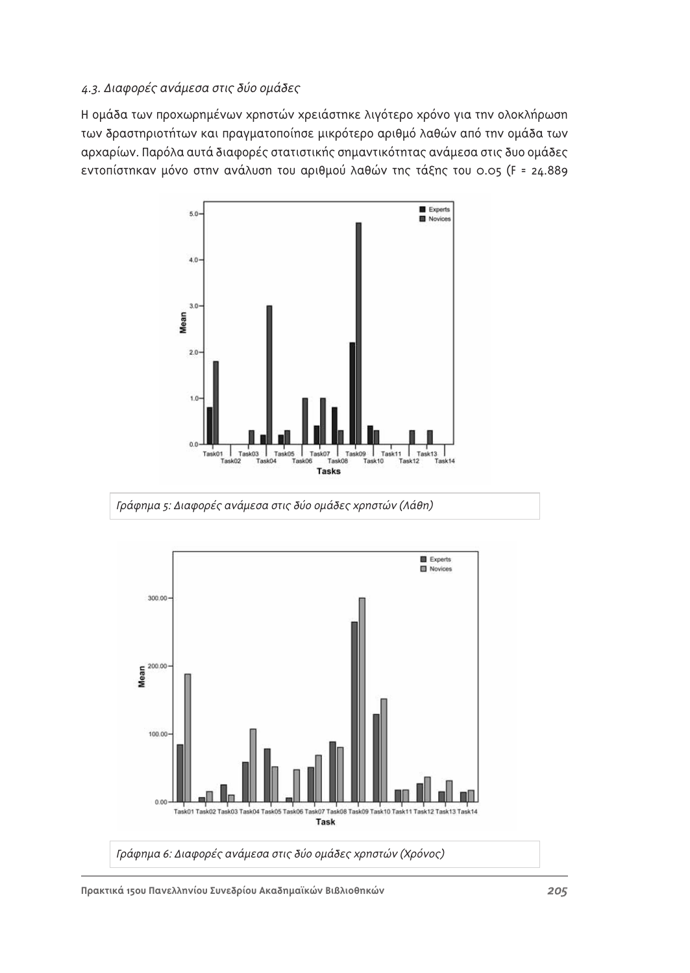# 4.3. Διαφορές ανάμεσα στις δύο ομάδες

Η ομάδα των προχωρημένων χρηστών χρειάστηκε λιγότερο χρόνο για την ολοκλήρωση των δραστηριοτήτων και πραγματοποίησε μικρότερο αριθμό λαθών από την ομάδα των αρχαρίων. Παρόλα αυτά διαφορές στατιστικής σημαντικότητας ανάμεσα στις δυο ομάδες εντοπίστηκαν μόνο στην ανάλυση του αριθμού λαθών της τάξης του 0.05 (F = 24.889



Γράφημα 5: Διαφορές ανάμεσα στις δύο ομάδες χρηστών (Λάθη)

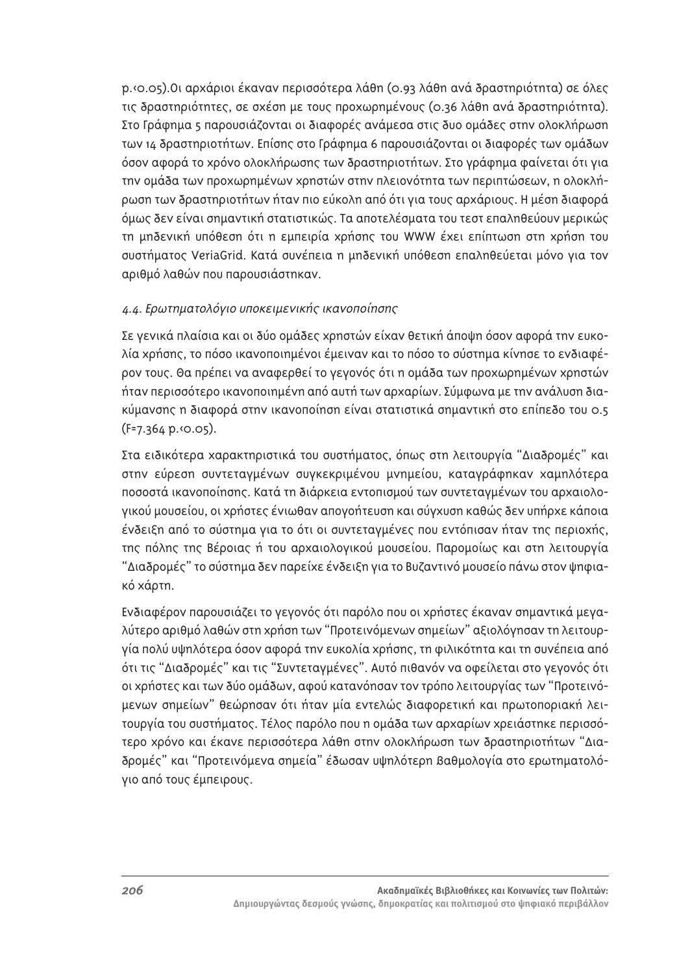p.<o.o5).Οι αρχάριοι έκαναν περισσότερα λάθη (0.93 λάθη ανά δραστηριότητα) σε όλες τις δραστηριότητες, σε σχέση με τους προχωρημένους (0.36 λάθη ανά δραστηριότητα). Στο Γράφημα 5 παρουσιάζονται οι διαφορές ανάμεσα στις δυο ομάδες στην ολοκλήρωση των 14 δραστηριοτήτων. Επίσης στο Γράφημα 6 παρουσιάζονται οι διαφορές των ομάδων όσον αφορά το χρόνο ολοκλήρωσης των δραστηριοτήτων. Στο γράφημα φαίνεται ότι για την ομάδα των προχωρημένων χρηστών στην πλειονότητα των περιπτώσεων, η ολοκλήρωση των δραστηριοτήτων ήταν πιο εύκολη από ότι για τους αρχάριους. Η μέση διαφορά όμως δεν είναι σημαντική στατιστικώς. Τα αποτελέσματα του τεστ επαληθεύουν μερικώς τη μηδενική υπόθεση ότι η εμπειρία χρήσης του WWW έχει επίπτωση στη χρήση του συστήματος VerjaGrid. Κατά συνέπεια η μηδενική υπόθεση επαληθεύεται μόνο νια τον αριθμό λαθών που παρουσιάστηκαν.

# 4.4. Ερωτηματολόγιο υποκειμενικής ικανοποίησης

Σε γενικά πλαίσια και οι δύο ομάδες χρηστών είχαν θετική άποψη όσον αφορά την ευκολία χρήσης, το πόσο ικανοποιημένοι έμειναν και το πόσο το σύστημα κίνησε το ενδιαφέρον τους. Θα πρέπει να αναφερθεί το γεγονός ότι η ομάδα των προχωρημένων χρηστών ήταν περισσότερο ικανοποιημένη από αυτή των αρχαρίων. Σύμφωνα με την ανάλυση διακύμανσης η διαφορά στην ικανοποίηση είναι στατιστικά σημαντική στο επίπεδο του 0.5  $(F=7.364 p.00.05)$ .

Στα ειδικότερα χαρακτηριστικά του συστήματος, όπως στη λειτουργία "Διαδρομές" και στην εύρεση συντεταγμένων συγκεκριμένου μνημείου, καταγράφηκαν χαμηλότερα ποσοστά ικανοποίησης. Κατά τη διάρκεια εντοπισμού των συντεταγμένων του αρχαιολογικού μουσείου, οι χρήστες ένιωθαν απογοήτευση και σύγχυση καθώς δεν υπήρχε κάποια ένδειξη από το σύστημα για το ότι οι συντεταγμένες που εντόπισαν ήταν της περιοχής, της πόλης της Βέροιας ή του αρχαιολογικού μουσείου. Παρομοίως και στη λειτουργία "Διαδρομές" το σύστημα δεν παρείχε ένδειξη για το Βυζαντινό μουσείο πάνω στον ψηφιακό χάρτη.

Ενδιαφέρον παρουσιάζει το γεγονός ότι παρόλο που οι χρήστες έκαναν σημαντικά μεγαλύτερο αριθμό λαθών στη χρήση των "Προτεινόμενων σημείων" αξιολόγησαν τη λειτουργία πολύ υψηλότερα όσον αφορά την ευκολία χρήσης, τη φιλικότητα και τη συνέπεια από ότι τις "Διαδρομές" και τις "Συντεταγμένες". Αυτό πιθανόν να οφείλεται στο γεγονός ότι οι χρήστες και των δύο ομάδων, αφού κατανόησαν τον τρόπο λειτουργίας των "Προτεινόμενων σημείων" θεώρησαν ότι ήταν μία εντελώς διαφορετική και πρωτοποριακή λειτουργία του συστήματος. Τέλος παρόλο που η ομάδα των αρχαρίων χρειάστηκε περισσότερο χρόνο και έκανε περισσότερα λάθη στην ολοκλήρωση των δραστηριοτήτων "Διαδρομές" και "Προτεινόμενα σημεία" έδωσαν υψηλότερη Βαθμολογία στο ερωτηματολόγιο από τους έμπειρους.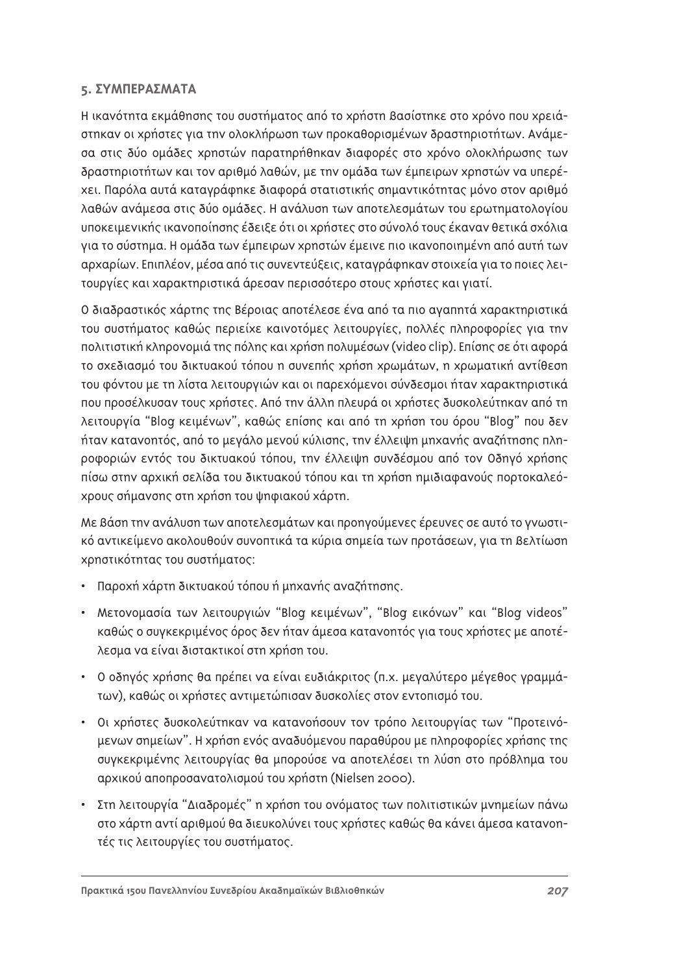## **5. ΣΥΜΠΕΡΑΣΜΑΤΑ**

Η ικανότητα εκμάθησης του συστήματος από το χρήστη Βασίστηκε στο χρόνο που χρειάστηκαν οι χρήστες για την ολοκλήρωση των προκαθορισμένων δραστηριοτήτων. Ανάμεσα στις δύο ομάδες χρηστών παρατηρήθηκαν διαφορές στο χρόνο ολοκλήρωσης των δραστηριοτήτων και τον αριθμό λαθών, με την ομάδα των έμπειρων χρηστών να υπερέxει. Παρόλα αυτά καταγράφηκε διαφορά στατιστικής σημαντικότητας μόνο στον αριθμό λαθών ανάμεσα στις δύο ομάδες. Η ανάλυση των αποτελεσμάτων του ερωτηματολογίου υποκειμενικής ικανοποίησης έδειξε ότι οι χρήστες στο σύνολό τους έκαναν θετικά σχόλια για το σύστημα. Η ομάδα των έμπειρων χρηστών έμεινε πιο ικανοποιημένη από αυτή των αρχαρίων. Επιπλέον, μέσα από τις συνεντεύξεις, καταγράφηκαν στοιχεία για το ποιες λειτουργίες και χαρακτηριστικά άρεσαν περισσότερο στους χρήστες και γιατί.

Ο διαδραστικός χάρτης της Βέροιας αποτέλεσε ένα από τα πιο αγαπητά χαρακτηριστικά του συστήματος καθώς περιείχε καινοτόμες λειτουργίες, πολλές πληροφορίες για την πολιτιστική κληρονομιά της πόλης και χρήση πολυμέσων (video clip). Επίσης σε ότι αφορά το σχεδιασμό του δικτυακού τόπου η συνεπής χρήση χρωμάτων, η χρωματική αντίθεση του φόντου με τη λίστα λειτουργιών και οι παρεχόμενοι σύνδεσμοι ήταν χαρακτηριστικά που προσέλκυσαν τους χρήστες. Από την άλλη πλευρά οι χρήστες δυσκολεύτηκαν από τη λειτουργία "Blog κειμένων", καθώς επίσης και από τη χρήση του όρου "Blog" που δεν ήταν κατανοητός, από το μεγάλο μενού κύλισης, την έλλειψη μηχανής αναζήτησης πληροφοριών εντός του δικτυακού τόπου, την έλλειψη συνδέσμου από τον Οδηγό χρήσης πίσω στην αρχική σελίδα του δικτυακού τόπου και τη χρήση ημιδιαφανούς πορτοκαλεόχρους σήμανσης στη χρήση του ψηφιακού χάρτη.

Με βάση την ανάλυση των αποτελεσμάτων και προηγούμενες έρευνες σε αυτό το γνωστικό αντικείμενο ακολουθούν συνοπτικά τα κύρια σημεία των προτάσεων, για τη βελτίωση xρηστικότητας του συστήματος:

- Παροχή χάρτη δικτυακού τόπου ή μηχανής αναζήτησης.
- Μετονομασία των λειτουργιών "Blog κειμένων", "Blog εικόνων" και "Blog videos" καθώς ο συγκεκριμένος όρος δεν ήταν άμεσα κατανοητός για τους χρήστες με αποτέλεσμα να είναι διστακτικοί στη χρήση του.
- Ο οδηγός χρήσης θα πρέπει να είναι ευδιάκριτος (π.χ. μεγαλύτερο μέγεθος γραμμάτων), καθώς οι χρήστες αντιμετώπισαν δυσκολίες στον εντοπισμό του.
- Οι χρήστες δυσκολεύτηκαν να κατανοήσουν τον τρόπο λειτουργίας των "Προτεινόμενων σημείων". Η χρήση ενός αναδυόμενου παραθύρου με πληροφορίες χρήσης της συγκεκριμένης λειτουργίας θα μπορούσε να αποτελέσει τη λύση στο πρόβλημα του αρχικού αποπροσανατολισμού του χρήστη (Nielsen 2000).
- Στη λειτουργία "Διαδρομές" η χρήση του ονόματος των πολιτιστικών μνημείων πάνω στο χάρτη αντί αριθμού θα διευκολύνει τους χρήστες καθώς θα κάνει άμεσα κατανοητές τις λειτουργίες του συστήματος.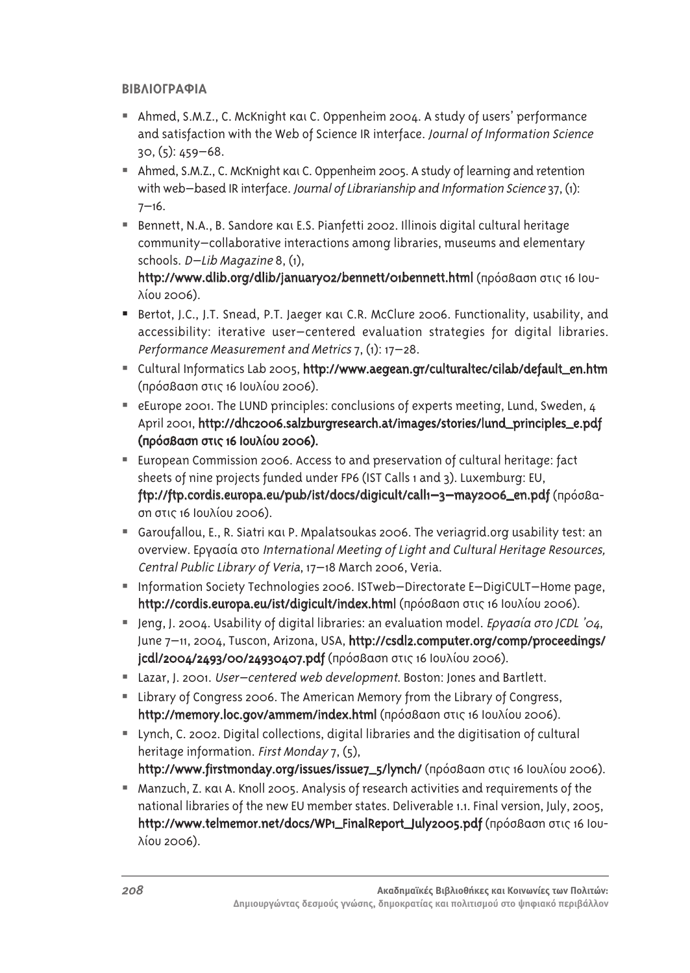# *BIBAIOFPAΦΙΑ*

- Ahmed, S.M.Z., C. McKnight kai C. Oppenheim 2004. A study of users' performance and satisfaction with the Web of Science IR interface. Journal of Information Science 30, (5): 459–68.
- $\blacksquare$  Ahmed, S.M.Z., C. McKnight  $\kappa$ ai C. Oppenheim 2005. A study of learning and retention with web–based IR interface. Journal of Librarianship and Information Science 37, (1):  $7 - 16.$
- Bennett, N.A., B. Sandore kai E.S. Pianfetti 2002. Illinois digital cultural heritage community–collaborative interactions among libraries, museums and elementary schools. D–Lib Magazine 8, (1),

http://www.dlib.org/dlib/january02/bennett/01bennett.html (πρόσβαση στις 16 Ιου- $\lambda$ ίου 2006).

- Bertot, J.C., J.T. Snead, P.T. Jaeger kai C.R. McClure 2006. Functionality, usability, and accessibility: iterative user–centered evaluation strategies for digital libraries. Performance Measurement and Metrics 7, (1): 17–28.
- Cultural Informatics Lab 2005, http://www.aegean.gr/culturaltec/cilab/default\_en.htm (πρόσβαση στις 16 Ιουλίου 2006).
- eEurope 2001. The LUND principles: conclusions of experts meeting, Lund, Sweden, 4 April 2001, http://dhc2006.salzburgresearch.at/images/stories/lund\_principles\_e.pdf (πρόσβαση στις 16 Ιουλίου 2006).
- European Commission 2006. Access to and preservation of cultural heritage: fact sheets of nine projects funded under FP6 (IST Calls 1 and 3). Luxemburg: EU, ftp://ftp.cordis.europa.eu/pub/ist/docs/digicult/call1-3-may2006\_en.pdf (npóoBaon στις 16 Ιουλίου 2006).
- Garoufallou, E., R. Siatri  $K\alpha$ , P. Mpalatsoukas 2006. The veriagrid.org usability test: an overview. Εργασία στο International Meeting of Light and Cultural Heritage Resources, Central Public Library of Veria, 17–18 March 2006, Veria.
- Information Society Technologies 2006. ISTweb-Directorate E-DigiCULT-Home page, http://cordis.europa.eu/ist/digicult/index.html (πρόσβαση στις 16 Ιουλίου 2006).
- Jeng, J. 2004. Usability of digital libraries: an evaluation model. *Εργασία στο JCDL '04*, June 7–11, 2004, Tuscon, Arizona, USA, http://csdl2.computer.org/comp/proceedings/ jcdl/2004/2493/00/24930407.pdf (πρόσβαση στις 16 Ιουλίου 2006).
- Lazar, J. 2001. User-centered web development. Boston: Jones and Bartlett.
- Library of Congress 2006. The American Memory from the Library of Congress, http://memory.loc.gov/ammem/index.html (πρόσβαση στις 16 Ιουλίου 2006).
- Lynch, C. 2002. Digital collections, digital libraries and the digitisation of cultural heritage information. First Monday 7, (5),
	- http://www.firstmonday.org/issues/issue7\_5/lynch/ (πρόσβαση στις 16 Ιουλίου 2006).
- Manzuch, Z. και A. Knoll 2005. Analysis of research activities and requirements of the national libraries of the new EU member states. Deliverable 1.1. Final version, July, 2005, http://www.telmemor.net/docs/WP1\_FinalReport\_July2005.pdf (πρόσβαση στις 16 Ιου- $\lambda$ ίου 2006).